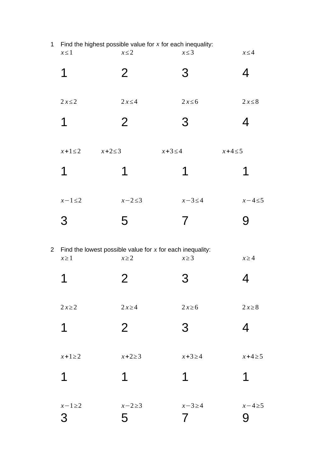| $\mathbf 1$    | $x \leq 1$                 | Find the highest possible value for $x$ for each inequality:<br>$x \leq 2$ | $x \leq 3$   | $x \leq 4$  |
|----------------|----------------------------|----------------------------------------------------------------------------|--------------|-------------|
|                | 1                          | $\overline{2}$                                                             | 3            | 4           |
|                | $2x \leq 2$                | $2x \leq 4$                                                                | $2x \leq 6$  | $2x \leq 8$ |
|                | 1                          | $\overline{2}$                                                             | 3            | 4           |
|                | $x+1\leq 2$<br>$x+2\leq 3$ | $x+3 \leq 4$                                                               | $x+4 \leq 5$ |             |
|                | 1                          | 1                                                                          | 1            | 1           |
|                | $x-1\leq 2$                | $x-2\leq 3$                                                                | $x-3\leq 4$  | $x-4\leq 5$ |
|                | 3                          | 5                                                                          | 7            | 9           |
| $\overline{2}$ | $x \geq 1$                 | Find the lowest possible value for $x$ for each inequality:<br>$x \geq 2$  | $x \geq 3$   | $x \geq 4$  |
|                | 1                          | 2                                                                          | З            | 4           |
|                |                            |                                                                            |              |             |

*x≥* 2 2 *x≥*4 2 *x≥*6 2 *x≥*8

2 3 4

*x*+1*≥* 2 *x*+2*≥* 3 *x*+3*≥* 4 *x*+4*≥*5

1 1 1 1

*x*−1*≥*2 *x*−2*≥*3 *x*−3*≥* 4 *x*−4*≥*5

5 7 9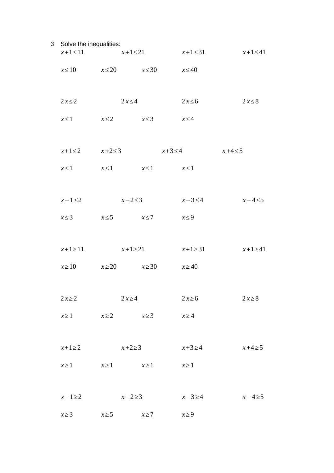| 3 Solve the inequalities: | $x+1 \le 11$ $x+1 \le 21$        |              | $x+1 \leq 31$ | $x+1\leq 41$ |
|---------------------------|----------------------------------|--------------|---------------|--------------|
|                           | $x \le 10$ $x \le 20$ $x \le 30$ |              | $x \leq 40$   |              |
| $2x \leq 2$               | $2x \leq 4$                      |              | $2x \leq 6$   | $2x \leq 8$  |
| $x \leq 1$                | $x \leq 2$ $x \leq 3$            |              | $x \leq 4$    |              |
| $x+1\leq 2$ $x+2\leq 3$   |                                  | $x+3 \leq 4$ |               | $x+4\leq 5$  |
| $x \leq 1$                | $x \le 1$ $x \le 1$ $x \le 1$    |              |               |              |
|                           |                                  |              |               |              |
| $x-1\leq 2$               | $x-2\leq 3$                      |              | $x-3\leq 4$   | $x-4\leq 5$  |
| $x \leq 3$                | $x \leq 5$ $x \leq 7$            |              | $x \leq 9$    |              |
| $x+1\geq 11$              | $x+1\geq 21$                     |              | $x+1\geq 31$  | $x+1\geq 41$ |
| $x \ge 10$                | $x \ge 20$ $x \ge 30$            |              | $x \ge 40$    |              |
|                           |                                  |              |               |              |
| $2x\geq 2$                | $2x\geq 4$                       |              | $2x\ge 6$     | $2x\ge8$     |
| $x \geq 1$                | $x \ge 2$ $x \ge 3$              |              | $x \ge 4$     |              |
| $x+1\geq 2$               | $x+2\geq 3$                      |              | $x+3\geq 4$   | $x+4\geq 5$  |
| $x \geq 1$                | $x \ge 1$ $x \ge 1$              |              | $x \geq 1$    |              |
|                           |                                  |              |               |              |
| $x-1\geq 2$               | $x-2\geq 3$                      |              | $x-3\geq 4$   | $x-4\geq 5$  |
| $x \geq 3$                | $x \geq 5$                       | $x \geq 7$   | $x \geq 9$    |              |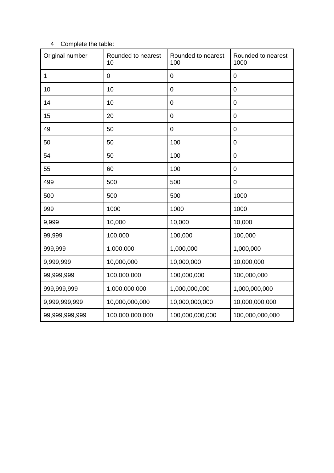## 4 Complete the table:

| Original number | Rounded to nearest<br>10 | Rounded to nearest<br>100 | Rounded to nearest<br>1000 |
|-----------------|--------------------------|---------------------------|----------------------------|
| $\mathbf{1}$    | 0                        | $\mathbf 0$               | 0                          |
| 10              | 10                       | $\boldsymbol{0}$          | 0                          |
| 14              | 10                       | $\mathbf 0$               | 0                          |
| 15              | 20                       | $\mathbf 0$               | 0                          |
| 49              | 50                       | $\mathbf 0$               | 0                          |
| 50              | 50                       | 100                       | 0                          |
| 54              | 50                       | 100                       | 0                          |
| 55              | 60                       | 100                       | 0                          |
| 499             | 500                      | 500                       | 0                          |
| 500             | 500                      | 500                       | 1000                       |
| 999             | 1000                     | 1000                      | 1000                       |
| 9,999           | 10,000                   | 10,000                    | 10,000                     |
| 99,999          | 100,000                  | 100,000                   | 100,000                    |
| 999,999         | 1,000,000                | 1,000,000                 | 1,000,000                  |
| 9,999,999       | 10,000,000               | 10,000,000                | 10,000,000                 |
| 99,999,999      | 100,000,000              | 100,000,000               | 100,000,000                |
| 999,999,999     | 1,000,000,000            | 1,000,000,000             | 1,000,000,000              |
| 9,999,999,999   | 10,000,000,000           | 10,000,000,000            | 10,000,000,000             |
| 99,999,999,999  | 100,000,000,000          | 100,000,000,000           | 100,000,000,000            |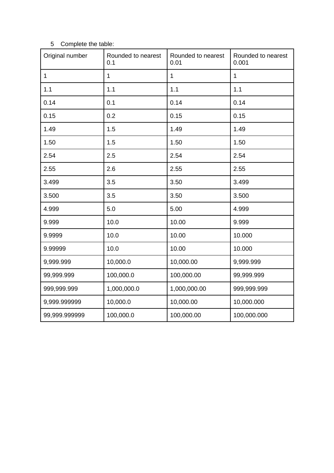| Original number | Rounded to nearest<br>0.1 | Rounded to nearest<br>0.01 | Rounded to nearest<br>0.001 |
|-----------------|---------------------------|----------------------------|-----------------------------|
| $\mathbf{1}$    | $\mathbf{1}$              | $\mathbf{1}$               | $\mathbf 1$                 |
| 1.1             | 1.1                       | 1.1                        | 1.1                         |
| 0.14            | 0.1                       | 0.14                       | 0.14                        |
| 0.15            | 0.2                       | 0.15                       | 0.15                        |
| 1.49            | 1.5                       | 1.49                       | 1.49                        |
| 1.50            | 1.5                       | 1.50                       | 1.50                        |
| 2.54            | 2.5                       | 2.54                       | 2.54                        |
| 2.55            | 2.6                       | 2.55                       | 2.55                        |
| 3.499           | 3.5                       | 3.50                       | 3.499                       |
| 3.500           | 3.5                       | 3.50                       | 3.500                       |
| 4.999           | 5.0                       | 5.00                       | 4.999                       |
| 9.999           | 10.0                      | 10.00                      | 9.999                       |
| 9.9999          | 10.0                      | 10.00                      | 10.000                      |
| 9.99999         | 10.0                      | 10.00                      | 10.000                      |
| 9,999.999       | 10,000.0                  | 10,000.00                  | 9,999.999                   |
| 99,999.999      | 100,000.0                 | 100,000.00                 | 99,999.999                  |
| 999,999.999     | 1,000,000.0               | 1,000,000.00               | 999,999.999                 |
| 9,999.999999    | 10,000.0                  | 10,000.00                  | 10,000.000                  |
| 99,999.999999   | 100,000.0                 | 100,000.00                 | 100,000.000                 |

## 5 Complete the table: